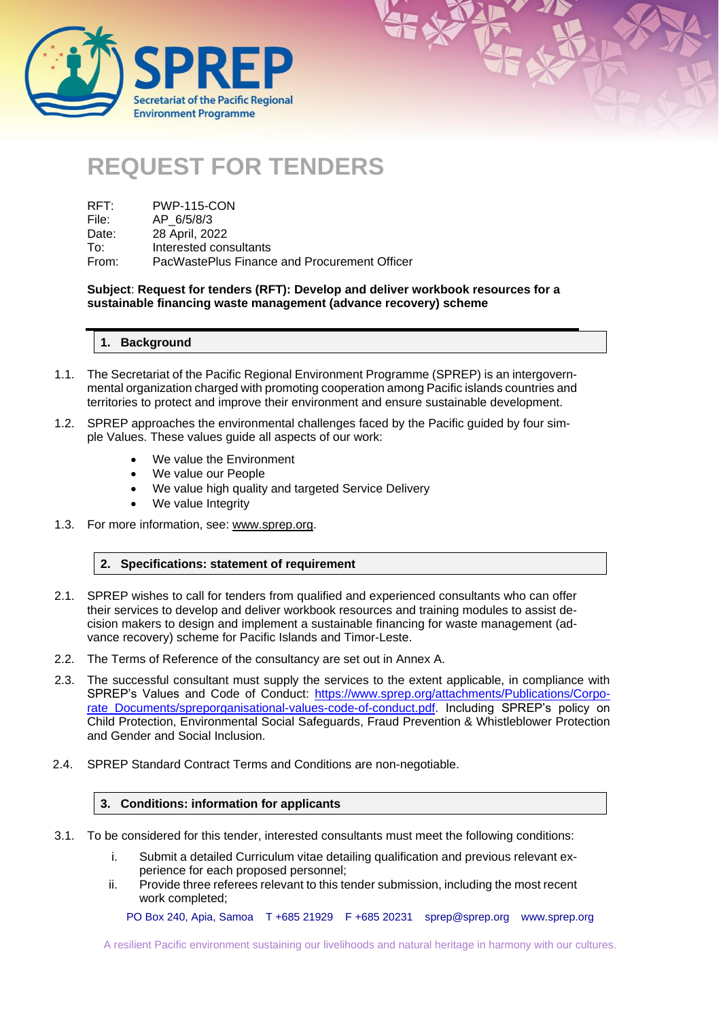



| RFT:  | <b>PWP-115-CON</b>                           |
|-------|----------------------------------------------|
| File: | AP 6/5/8/3                                   |
| Date: | 28 April, 2022                               |
| To:   | Interested consultants                       |
| From: | PacWastePlus Finance and Procurement Officer |

**Subject**: **Request for tenders (RFT): Develop and deliver workbook resources for a sustainable financing waste management (advance recovery) scheme**

| 1. Background |
|---------------|
|               |

- 1.1. The Secretariat of the Pacific Regional Environment Programme (SPREP) is an intergovernmental organization charged with promoting cooperation among Pacific islands countries and territories to protect and improve their environment and ensure sustainable development.
- 1.2. SPREP approaches the environmental challenges faced by the Pacific guided by four simple Values. These values guide all aspects of our work:
	- We value the Environment
	- We value our People
	- We value high quality and targeted Service Delivery
	- We value Integrity
- 1.3. For more information, see: [www.sprep.org.](http://www.sprep.org/)

#### **2. Specifications: statement of requirement**

- 2.1. SPREP wishes to call for tenders from qualified and experienced consultants who can offer their services to develop and deliver workbook resources and training modules to assist decision makers to design and implement a sustainable financing for waste management (advance recovery) scheme for Pacific Islands and Timor-Leste.
- 2.2. The Terms of Reference of the consultancy are set out in Annex A.
- 2.3. The successful consultant must supply the services to the extent applicable, in compliance with SPREP's Values and Code of Conduct: [https://www.sprep.org/attachments/Publications/Corpo](https://www.sprep.org/attachments/Publications/Corporate_Documents/spreporganisational-values-code-of-conduct.pdf)[rate\\_Documents/spreporganisational-values-code-of-conduct.pdf.](https://www.sprep.org/attachments/Publications/Corporate_Documents/spreporganisational-values-code-of-conduct.pdf) Including SPREP's policy on Child Protection, Environmental Social Safeguards, Fraud Prevention & Whistleblower Protection and Gender and Social Inclusion.
- 2.4. SPREP Standard Contract Terms and Conditions are non-negotiable.

### **3. Conditions: information for applicants**

- 3.1. To be considered for this tender, interested consultants must meet the following conditions:
	- i. Submit a detailed Curriculum vitae detailing qualification and previous relevant experience for each proposed personnel;
	- ii. Provide three referees relevant to this tender submission, including the most recent work completed;

PO Box 240, Apia, Samoa T +685 21929 F +685 20231 [sprep@sprep.org](mailto:sprep@sprep.org) [www.sprep.org](http://www.sprep.org/)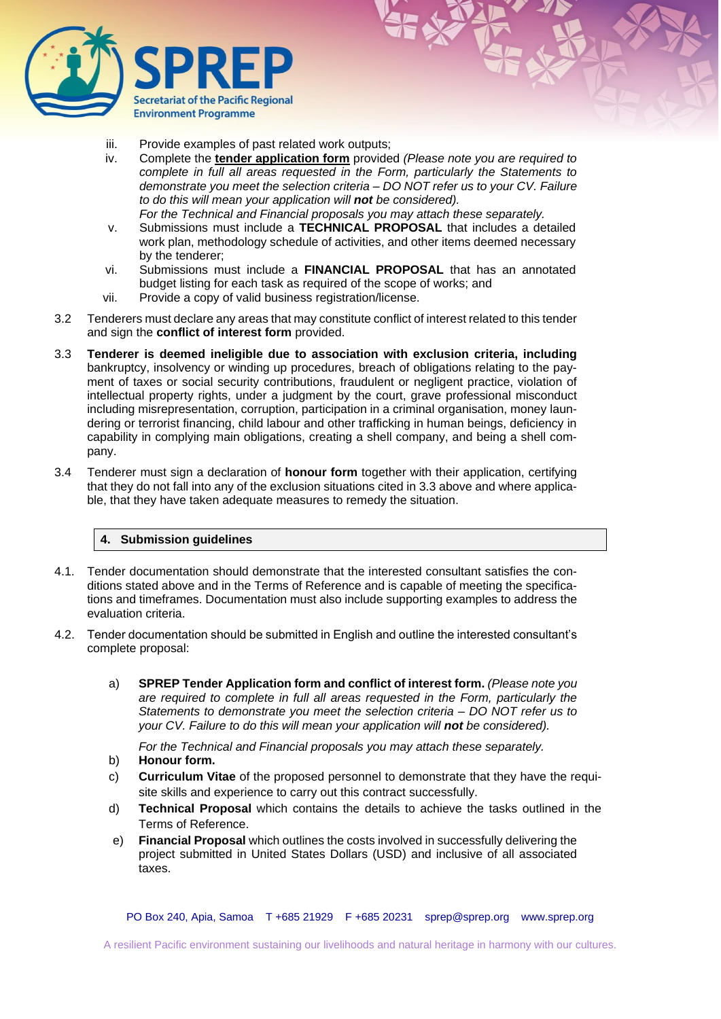

- iii. Provide examples of past related work outputs;
- iv. Complete the **tender application form** provided *(Please note you are required to complete in full all areas requested in the Form, particularly the Statements to demonstrate you meet the selection criteria – DO NOT refer us to your CV. Failure to do this will mean your application will not be considered).*

*For the Technical and Financial proposals you may attach these separately.* 

- v. Submissions must include a **TECHNICAL PROPOSAL** that includes a detailed work plan, methodology schedule of activities, and other items deemed necessary by the tenderer;
- vi. Submissions must include a **FINANCIAL PROPOSAL** that has an annotated budget listing for each task as required of the scope of works; and
- vii. Provide a copy of valid business registration/license.
- 3.2 Tenderers must declare any areas that may constitute conflict of interest related to this tender and sign the **conflict of interest form** provided.
- 3.3 **Tenderer is deemed ineligible due to association with exclusion criteria, including**  bankruptcy, insolvency or winding up procedures, breach of obligations relating to the payment of taxes or social security contributions, fraudulent or negligent practice, violation of intellectual property rights, under a judgment by the court, grave professional misconduct including misrepresentation, corruption, participation in a criminal organisation, money laundering or terrorist financing, child labour and other trafficking in human beings, deficiency in capability in complying main obligations, creating a shell company, and being a shell company.
- 3.4 Tenderer must sign a declaration of **honour form** together with their application, certifying that they do not fall into any of the exclusion situations cited in 3.3 above and where applicable, that they have taken adequate measures to remedy the situation.

#### **4. Submission guidelines**

- 4.1. Tender documentation should demonstrate that the interested consultant satisfies the conditions stated above and in the Terms of Reference and is capable of meeting the specifications and timeframes. Documentation must also include supporting examples to address the evaluation criteria.
- 4.2. Tender documentation should be submitted in English and outline the interested consultant's complete proposal:
	- a) **SPREP Tender Application form and conflict of interest form.** *(Please note you are required to complete in full all areas requested in the Form, particularly the Statements to demonstrate you meet the selection criteria – DO NOT refer us to your CV. Failure to do this will mean your application will not be considered).*

*For the Technical and Financial proposals you may attach these separately.* 

- b) **Honour form.**
- c) **Curriculum Vitae** of the proposed personnel to demonstrate that they have the requisite skills and experience to carry out this contract successfully.
- d) **Technical Proposal** which contains the details to achieve the tasks outlined in the Terms of Reference.
- e) **Financial Proposal** which outlines the costs involved in successfully delivering the project submitted in United States Dollars (USD) and inclusive of all associated taxes.

PO Box 240, Apia, Samoa T +685 21929 F +685 20231 [sprep@sprep.org](mailto:sprep@sprep.org) [www.sprep.org](http://www.sprep.org/)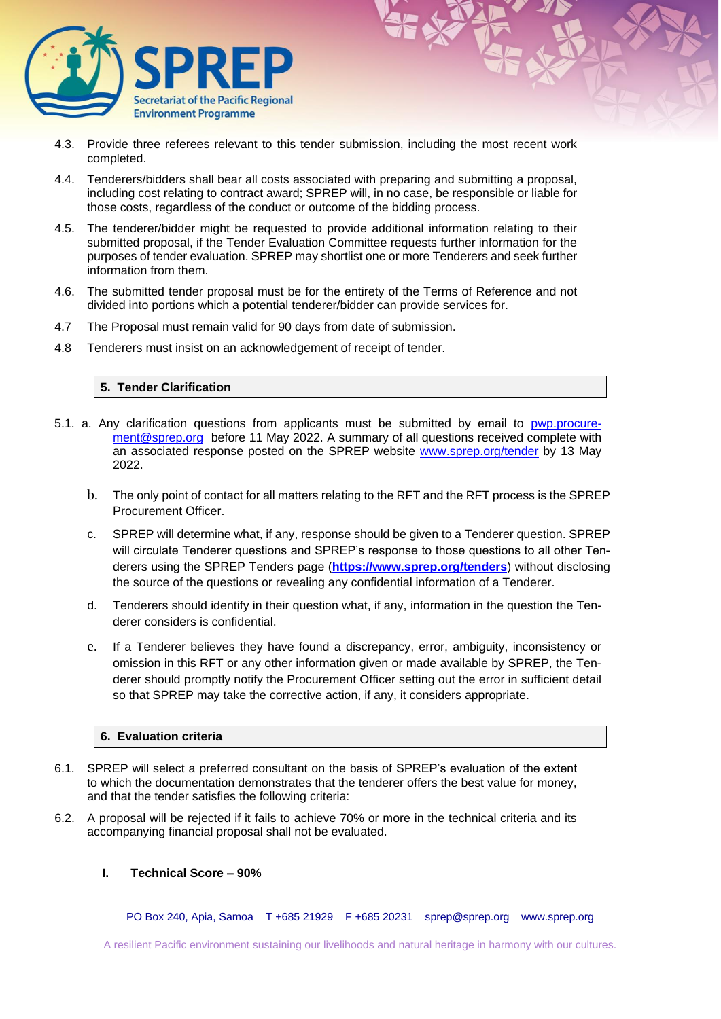

- 4.3. Provide three referees relevant to this tender submission, including the most recent work completed.
- 4.4. Tenderers/bidders shall bear all costs associated with preparing and submitting a proposal, including cost relating to contract award; SPREP will, in no case, be responsible or liable for those costs, regardless of the conduct or outcome of the bidding process.
- 4.5. The tenderer/bidder might be requested to provide additional information relating to their submitted proposal, if the Tender Evaluation Committee requests further information for the purposes of tender evaluation. SPREP may shortlist one or more Tenderers and seek further information from them.
- 4.6. The submitted tender proposal must be for the entirety of the Terms of Reference and not divided into portions which a potential tenderer/bidder can provide services for.
- 4.7 The Proposal must remain valid for 90 days from date of submission.
- 4.8 Tenderers must insist on an acknowledgement of receipt of tender.

### **5. Tender Clarification**

- 5.1. a. Any clarification questions from applicants must be submitted by email to [pwp.procure](mailto:pwp.procurement@sprep.org)[ment@sprep.org](mailto:pwp.procurement@sprep.org) before 11 May 2022. A summary of all questions received complete with an associated response posted on the SPREP website [www.sprep.org/tender](http://www.sprep.org/tender) by 13 May 2022.
	- b. The only point of contact for all matters relating to the RFT and the RFT process is the SPREP Procurement Officer.
	- c. SPREP will determine what, if any, response should be given to a Tenderer question. SPREP will circulate Tenderer questions and SPREP's response to those questions to all other Tenderers using the SPREP Tenders page (**<https://www.sprep.org/tenders>**) without disclosing the source of the questions or revealing any confidential information of a Tenderer.
	- d. Tenderers should identify in their question what, if any, information in the question the Tenderer considers is confidential.
	- e. If a Tenderer believes they have found a discrepancy, error, ambiguity, inconsistency or omission in this RFT or any other information given or made available by SPREP, the Tenderer should promptly notify the Procurement Officer setting out the error in sufficient detail so that SPREP may take the corrective action, if any, it considers appropriate.

#### **6. Evaluation criteria**

- 6.1. SPREP will select a preferred consultant on the basis of SPREP's evaluation of the extent to which the documentation demonstrates that the tenderer offers the best value for money, and that the tender satisfies the following criteria:
- 6.2. A proposal will be rejected if it fails to achieve 70% or more in the technical criteria and its accompanying financial proposal shall not be evaluated.

### **I. Technical Score – 90%**

PO Box 240, Apia, Samoa T +685 21929 F +685 20231 [sprep@sprep.org](mailto:sprep@sprep.org) [www.sprep.org](http://www.sprep.org/)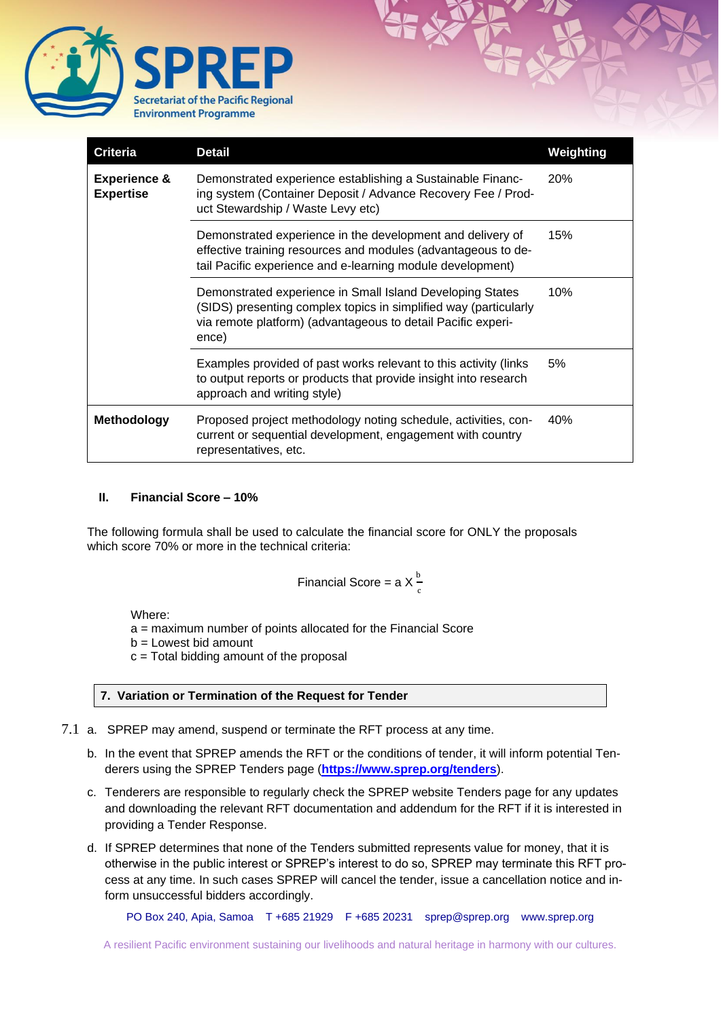

| Criteria                                    | <b>Detail</b>                                                                                                                                                                                          | Weighting |
|---------------------------------------------|--------------------------------------------------------------------------------------------------------------------------------------------------------------------------------------------------------|-----------|
| <b>Experience &amp;</b><br><b>Expertise</b> | Demonstrated experience establishing a Sustainable Financ-<br>ing system (Container Deposit / Advance Recovery Fee / Prod-<br>uct Stewardship / Waste Levy etc)                                        | 20%       |
|                                             | Demonstrated experience in the development and delivery of<br>effective training resources and modules (advantageous to de-<br>tail Pacific experience and e-learning module development)              | 15%       |
|                                             | Demonstrated experience in Small Island Developing States<br>(SIDS) presenting complex topics in simplified way (particularly<br>via remote platform) (advantageous to detail Pacific experi-<br>ence) | 10%       |
|                                             | Examples provided of past works relevant to this activity (links<br>to output reports or products that provide insight into research<br>approach and writing style)                                    | 5%        |
| <b>Methodology</b>                          | Proposed project methodology noting schedule, activities, con-<br>current or sequential development, engagement with country<br>representatives, etc.                                                  | 40%       |

## **II. Financial Score – 10%**

The following formula shall be used to calculate the financial score for ONLY the proposals which score 70% or more in the technical criteria:

Financial Score = a X 
$$
\frac{b}{c}
$$

Where:

a = maximum number of points allocated for the Financial Score

b = Lowest bid amount

c = Total bidding amount of the proposal

## **7. Variation or Termination of the Request for Tender**

- 7.1 a. SPREP may amend, suspend or terminate the RFT process at any time.
	- b. In the event that SPREP amends the RFT or the conditions of tender, it will inform potential Tenderers using the SPREP Tenders page (**<https://www.sprep.org/tenders>**).
	- c. Tenderers are responsible to regularly check the SPREP website Tenders page for any updates and downloading the relevant RFT documentation and addendum for the RFT if it is interested in providing a Tender Response.
	- d. If SPREP determines that none of the Tenders submitted represents value for money, that it is otherwise in the public interest or SPREP's interest to do so, SPREP may terminate this RFT process at any time. In such cases SPREP will cancel the tender, issue a cancellation notice and inform unsuccessful bidders accordingly.

PO Box 240, Apia, Samoa T +685 21929 F +685 20231 [sprep@sprep.org](mailto:sprep@sprep.org) [www.sprep.org](http://www.sprep.org/)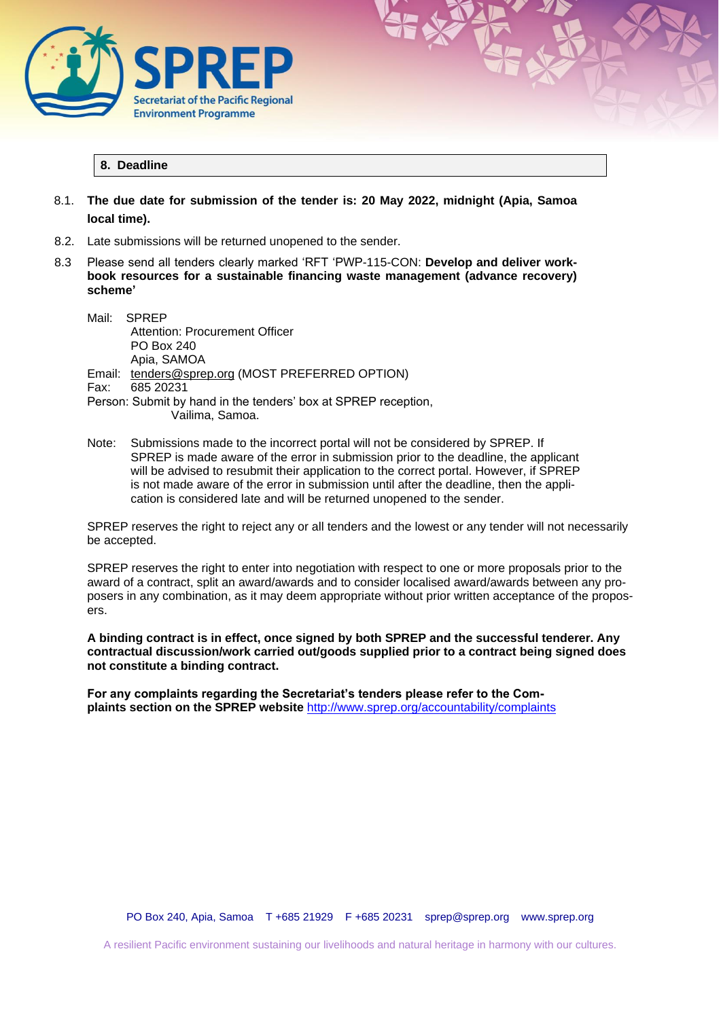

## **8. Deadline**

- 8.1. **The due date for submission of the tender is: 20 May 2022, midnight (Apia, Samoa local time).**
- 8.2. Late submissions will be returned unopened to the sender.
- 8.3 Please send all tenders clearly marked 'RFT 'PWP-115-CON: **Develop and deliver workbook resources for a sustainable financing waste management (advance recovery) scheme'**
	- Mail: SPREP Attention: Procurement Officer PO Box 240 Apia, SAMOA Email: [tenders@sprep.org](mailto:tenders@sprep.org) (MOST PREFERRED OPTION) Fax: 685 20231 Person: Submit by hand in the tenders' box at SPREP reception, Vailima, Samoa.
	- Note: Submissions made to the incorrect portal will not be considered by SPREP. If SPREP is made aware of the error in submission prior to the deadline, the applicant will be advised to resubmit their application to the correct portal. However, if SPREP is not made aware of the error in submission until after the deadline, then the application is considered late and will be returned unopened to the sender.

SPREP reserves the right to reject any or all tenders and the lowest or any tender will not necessarily be accepted.

SPREP reserves the right to enter into negotiation with respect to one or more proposals prior to the award of a contract, split an award/awards and to consider localised award/awards between any proposers in any combination, as it may deem appropriate without prior written acceptance of the proposers.

**A binding contract is in effect, once signed by both SPREP and the successful tenderer. Any contractual discussion/work carried out/goods supplied prior to a contract being signed does not constitute a binding contract.** 

**For any complaints regarding the Secretariat's tenders please refer to the Complaints section on the SPREP website** <http://www.sprep.org/accountability/complaints>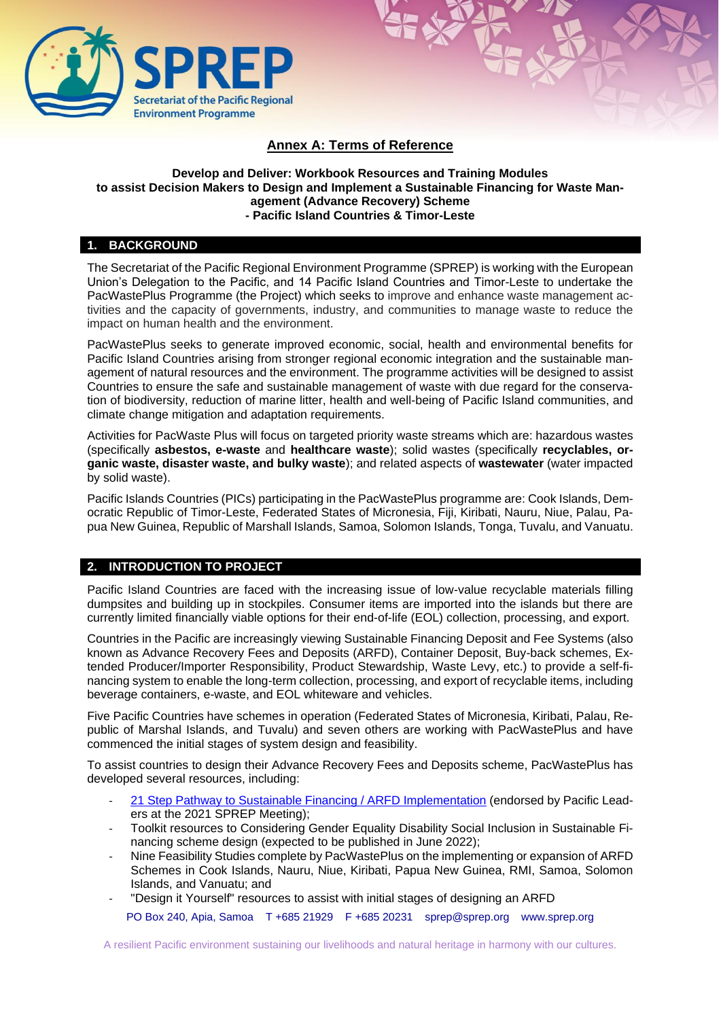

# **Annex A: Terms of Reference**

## **Develop and Deliver: Workbook Resources and Training Modules to assist Decision Makers to Design and Implement a Sustainable Financing for Waste Management (Advance Recovery) Scheme - Pacific Island Countries & Timor-Leste**

## **1. BACKGROUND**

The Secretariat of the Pacific Regional Environment Programme (SPREP) is working with the European Union's Delegation to the Pacific, and 14 Pacific Island Countries and Timor-Leste to undertake the PacWastePlus Programme (the Project) which seeks to improve and enhance waste management activities and the capacity of governments, industry, and communities to manage waste to reduce the impact on human health and the environment.

PacWastePlus seeks to generate improved economic, social, health and environmental benefits for Pacific Island Countries arising from stronger regional economic integration and the sustainable management of natural resources and the environment. The programme activities will be designed to assist Countries to ensure the safe and sustainable management of waste with due regard for the conservation of biodiversity, reduction of marine litter, health and well-being of Pacific Island communities, and climate change mitigation and adaptation requirements.

Activities for PacWaste Plus will focus on targeted priority waste streams which are: hazardous wastes (specifically **asbestos, e-waste** and **healthcare waste**); solid wastes (specifically **recyclables, organic waste, disaster waste, and bulky waste**); and related aspects of **wastewater** (water impacted by solid waste).

Pacific Islands Countries (PICs) participating in the PacWastePlus programme are: Cook Islands, Democratic Republic of Timor-Leste, Federated States of Micronesia, Fiji, Kiribati, Nauru, Niue, Palau, Papua New Guinea, Republic of Marshall Islands, Samoa, Solomon Islands, Tonga, Tuvalu, and Vanuatu.

## **2. INTRODUCTION TO PROJECT**

Pacific Island Countries are faced with the increasing issue of low-value recyclable materials filling dumpsites and building up in stockpiles. Consumer items are imported into the islands but there are currently limited financially viable options for their end-of-life (EOL) collection, processing, and export.

Countries in the Pacific are increasingly viewing Sustainable Financing Deposit and Fee Systems (also known as Advance Recovery Fees and Deposits (ARFD), Container Deposit, Buy-back schemes, Extended Producer/Importer Responsibility, Product Stewardship, Waste Levy, etc.) to provide a self-financing system to enable the long-term collection, processing, and export of recyclable items, including beverage containers, e-waste, and EOL whiteware and vehicles.

Five Pacific Countries have schemes in operation (Federated States of Micronesia, Kiribati, Palau, Republic of Marshal Islands, and Tuvalu) and seven others are working with PacWastePlus and have commenced the initial stages of system design and feasibility.

To assist countries to design their Advance Recovery Fees and Deposits scheme, PacWastePlus has developed several resources, including:

- [21 Step Pathway to Sustainable Financing / ARFD Implementation](https://pacwasteplus.org/resources/pathway-for-a-sustainable-financing-mechanism/) (endorsed by Pacific Leaders at the 2021 SPREP Meeting);
- Toolkit resources to Considering Gender Equality Disability Social Inclusion in Sustainable Financing scheme design (expected to be published in June 2022);
- Nine Feasibility Studies complete by PacWastePlus on the implementing or expansion of ARFD Schemes in Cook Islands, Nauru, Niue, Kiribati, Papua New Guinea, RMI, Samoa, Solomon Islands, and Vanuatu; and
- "Design it Yourself" resources to assist with initial stages of designing an ARFD

PO Box 240, Apia, Samoa T +685 21929 F +685 20231 [sprep@sprep.org](mailto:sprep@sprep.org) [www.sprep.org](http://www.sprep.org/)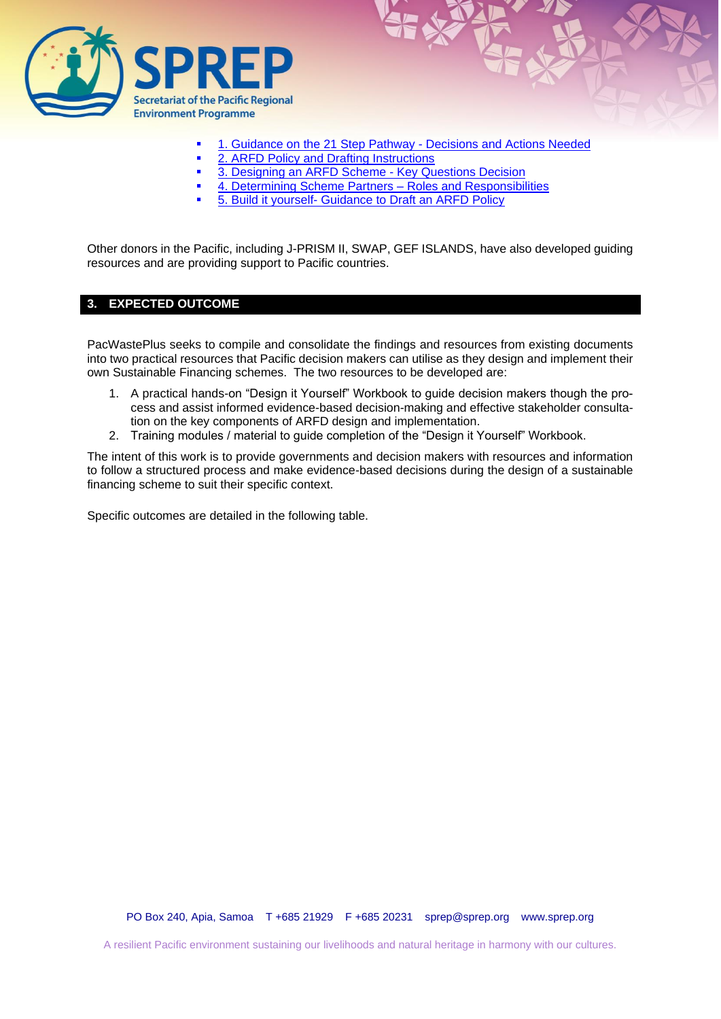

- **[1. Guidance on the 21 Step Pathway -](https://pacwasteplus.org/resources/ard-guiding-documents-toolkit-step-1-implementing-an-ardf-guidance-on-the-21-step-pathway/) Decisions and Actions Needed**
- **[2. ARFD Policy and Drafting Instructions](https://pacwasteplus.org/resources/step-2-determining-scheme-partners-roles-and-responsibilities/)**
- [3. Designing an ARFD Scheme -](https://pacwasteplus.org/resources/step-3-build-it-yourself-designing-an-arfd-scheme-key-questions-and-decisions/) Key Questions Decision
- [4. Determining Scheme Partners –](https://pacwasteplus.org/resources/step-4-example-table-of-contents-for-arfd-policy-and-drafting-instructions/) Roles and Responsibilities
	- 5. Build it yourself- [Guidance to Draft an ARFD Policy](https://pacwasteplus.org/resources/step-5-build-it-yourself-guidance-to-drafting-arfd-policy/)

Other donors in the Pacific, including J-PRISM II, SWAP, GEF ISLANDS, have also developed guiding resources and are providing support to Pacific countries.

## **3. EXPECTED OUTCOME**

PacWastePlus seeks to compile and consolidate the findings and resources from existing documents into two practical resources that Pacific decision makers can utilise as they design and implement their own Sustainable Financing schemes. The two resources to be developed are:

- 1. A practical hands-on "Design it Yourself" Workbook to guide decision makers though the process and assist informed evidence-based decision-making and effective stakeholder consultation on the key components of ARFD design and implementation.
- 2. Training modules / material to guide completion of the "Design it Yourself" Workbook.

The intent of this work is to provide governments and decision makers with resources and information to follow a structured process and make evidence-based decisions during the design of a sustainable financing scheme to suit their specific context.

Specific outcomes are detailed in the following table.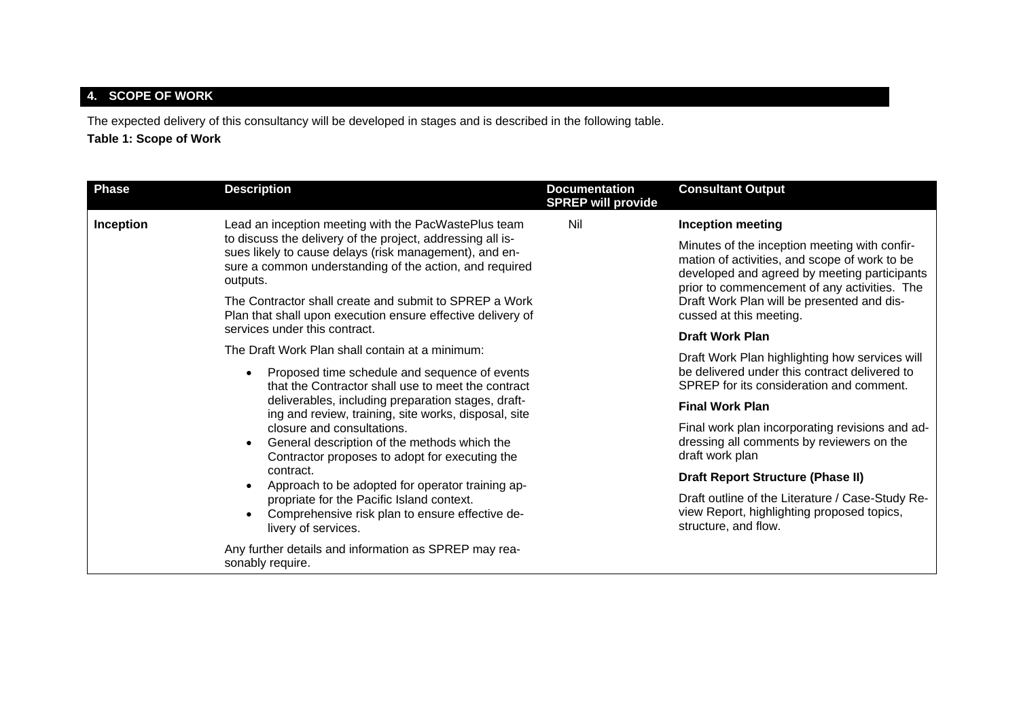# **4. SCOPE OF WORK**

The expected delivery of this consultancy will be developed in stages and is described in the following table.

# **Table 1: Scope of Work**

| <b>Phase</b>     | <b>Description</b>                                                                                                                                                                                                                                                                                                                                                                                                                                                                                                                                                                                                                                                                                                                                                                                                                                                                                                                                                                                            | <b>Documentation</b><br><b>SPREP will provide</b> | <b>Consultant Output</b>                                                                                                                                                                                                                                                                                                                                                                                                                                                                                                                                                                                                                                                                                                                                                                        |
|------------------|---------------------------------------------------------------------------------------------------------------------------------------------------------------------------------------------------------------------------------------------------------------------------------------------------------------------------------------------------------------------------------------------------------------------------------------------------------------------------------------------------------------------------------------------------------------------------------------------------------------------------------------------------------------------------------------------------------------------------------------------------------------------------------------------------------------------------------------------------------------------------------------------------------------------------------------------------------------------------------------------------------------|---------------------------------------------------|-------------------------------------------------------------------------------------------------------------------------------------------------------------------------------------------------------------------------------------------------------------------------------------------------------------------------------------------------------------------------------------------------------------------------------------------------------------------------------------------------------------------------------------------------------------------------------------------------------------------------------------------------------------------------------------------------------------------------------------------------------------------------------------------------|
| <b>Inception</b> | Lead an inception meeting with the PacWastePlus team<br>to discuss the delivery of the project, addressing all is-<br>sues likely to cause delays (risk management), and en-<br>sure a common understanding of the action, and required<br>outputs.<br>The Contractor shall create and submit to SPREP a Work<br>Plan that shall upon execution ensure effective delivery of<br>services under this contract.<br>The Draft Work Plan shall contain at a minimum:<br>Proposed time schedule and sequence of events<br>that the Contractor shall use to meet the contract<br>deliverables, including preparation stages, draft-<br>ing and review, training, site works, disposal, site<br>closure and consultations.<br>General description of the methods which the<br>Contractor proposes to adopt for executing the<br>contract.<br>Approach to be adopted for operator training ap-<br>propriate for the Pacific Island context.<br>Comprehensive risk plan to ensure effective de-<br>livery of services. | Nil                                               | <b>Inception meeting</b><br>Minutes of the inception meeting with confir-<br>mation of activities, and scope of work to be<br>developed and agreed by meeting participants<br>prior to commencement of any activities. The<br>Draft Work Plan will be presented and dis-<br>cussed at this meeting.<br><b>Draft Work Plan</b><br>Draft Work Plan highlighting how services will<br>be delivered under this contract delivered to<br>SPREP for its consideration and comment.<br><b>Final Work Plan</b><br>Final work plan incorporating revisions and ad-<br>dressing all comments by reviewers on the<br>draft work plan<br><b>Draft Report Structure (Phase II)</b><br>Draft outline of the Literature / Case-Study Re-<br>view Report, highlighting proposed topics,<br>structure, and flow. |
|                  | Any further details and information as SPREP may rea-<br>sonably require.                                                                                                                                                                                                                                                                                                                                                                                                                                                                                                                                                                                                                                                                                                                                                                                                                                                                                                                                     |                                                   |                                                                                                                                                                                                                                                                                                                                                                                                                                                                                                                                                                                                                                                                                                                                                                                                 |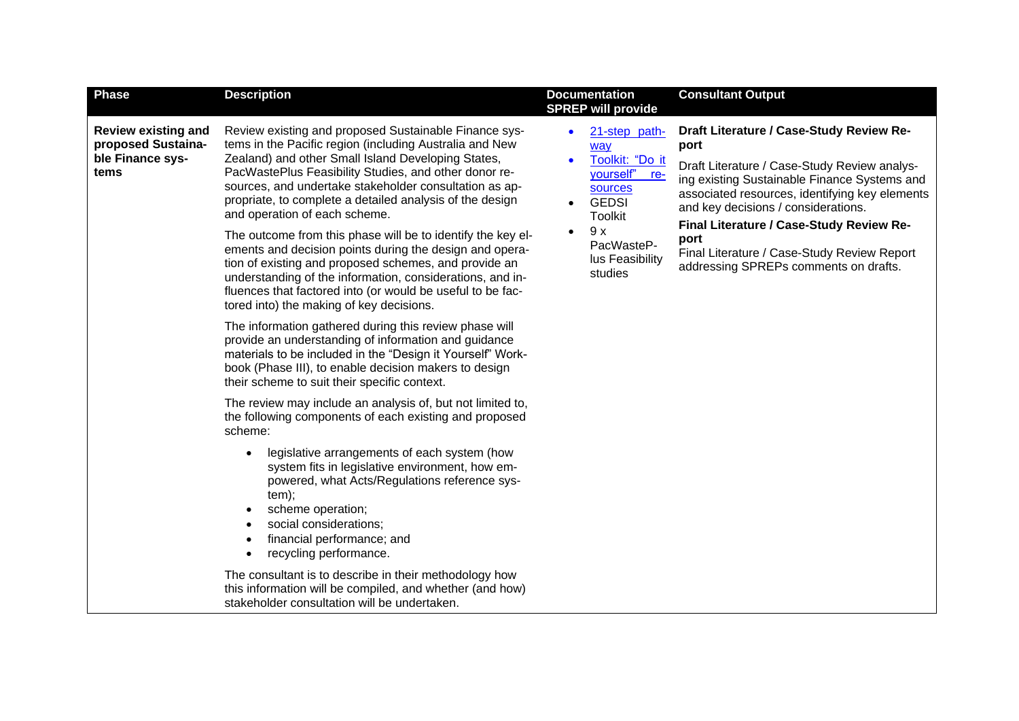| <b>Phase</b>                                                                 | <b>Description</b>                                                                                                                                                                                                                                                                                                                                                                                                                                                                                                                                                                                                                                                                                                                               | <b>Documentation</b><br><b>SPREP will provide</b>                                                                                                                                           | <b>Consultant Output</b>                                                                                                                                                                                                                                                                                                                                                              |
|------------------------------------------------------------------------------|--------------------------------------------------------------------------------------------------------------------------------------------------------------------------------------------------------------------------------------------------------------------------------------------------------------------------------------------------------------------------------------------------------------------------------------------------------------------------------------------------------------------------------------------------------------------------------------------------------------------------------------------------------------------------------------------------------------------------------------------------|---------------------------------------------------------------------------------------------------------------------------------------------------------------------------------------------|---------------------------------------------------------------------------------------------------------------------------------------------------------------------------------------------------------------------------------------------------------------------------------------------------------------------------------------------------------------------------------------|
| <b>Review existing and</b><br>proposed Sustaina-<br>ble Finance sys-<br>tems | Review existing and proposed Sustainable Finance sys-<br>tems in the Pacific region (including Australia and New<br>Zealand) and other Small Island Developing States,<br>PacWastePlus Feasibility Studies, and other donor re-<br>sources, and undertake stakeholder consultation as ap-<br>propriate, to complete a detailed analysis of the design<br>and operation of each scheme.<br>The outcome from this phase will be to identify the key el-<br>ements and decision points during the design and opera-<br>tion of existing and proposed schemes, and provide an<br>understanding of the information, considerations, and in-<br>fluences that factored into (or would be useful to be fac-<br>tored into) the making of key decisions. | 21-step path-<br>way<br>Toolkit: "Do it<br>yourself"<br>re-<br><b>sources</b><br><b>GEDSI</b><br>$\bullet$<br><b>Toolkit</b><br>9x<br>$\bullet$<br>PacWasteP-<br>lus Feasibility<br>studies | Draft Literature / Case-Study Review Re-<br>port<br>Draft Literature / Case-Study Review analys-<br>ing existing Sustainable Finance Systems and<br>associated resources, identifying key elements<br>and key decisions / considerations.<br>Final Literature / Case-Study Review Re-<br>port<br>Final Literature / Case-Study Review Report<br>addressing SPREPs comments on drafts. |
|                                                                              | The information gathered during this review phase will<br>provide an understanding of information and guidance<br>materials to be included in the "Design it Yourself" Work-<br>book (Phase III), to enable decision makers to design<br>their scheme to suit their specific context.                                                                                                                                                                                                                                                                                                                                                                                                                                                            |                                                                                                                                                                                             |                                                                                                                                                                                                                                                                                                                                                                                       |
|                                                                              | The review may include an analysis of, but not limited to,<br>the following components of each existing and proposed<br>scheme:<br>legislative arrangements of each system (how<br>system fits in legislative environment, how em-<br>powered, what Acts/Regulations reference sys-<br>tem);<br>scheme operation;<br>social considerations;<br>financial performance; and<br>recycling performance.                                                                                                                                                                                                                                                                                                                                              |                                                                                                                                                                                             |                                                                                                                                                                                                                                                                                                                                                                                       |
|                                                                              | The consultant is to describe in their methodology how<br>this information will be compiled, and whether (and how)<br>stakeholder consultation will be undertaken.                                                                                                                                                                                                                                                                                                                                                                                                                                                                                                                                                                               |                                                                                                                                                                                             |                                                                                                                                                                                                                                                                                                                                                                                       |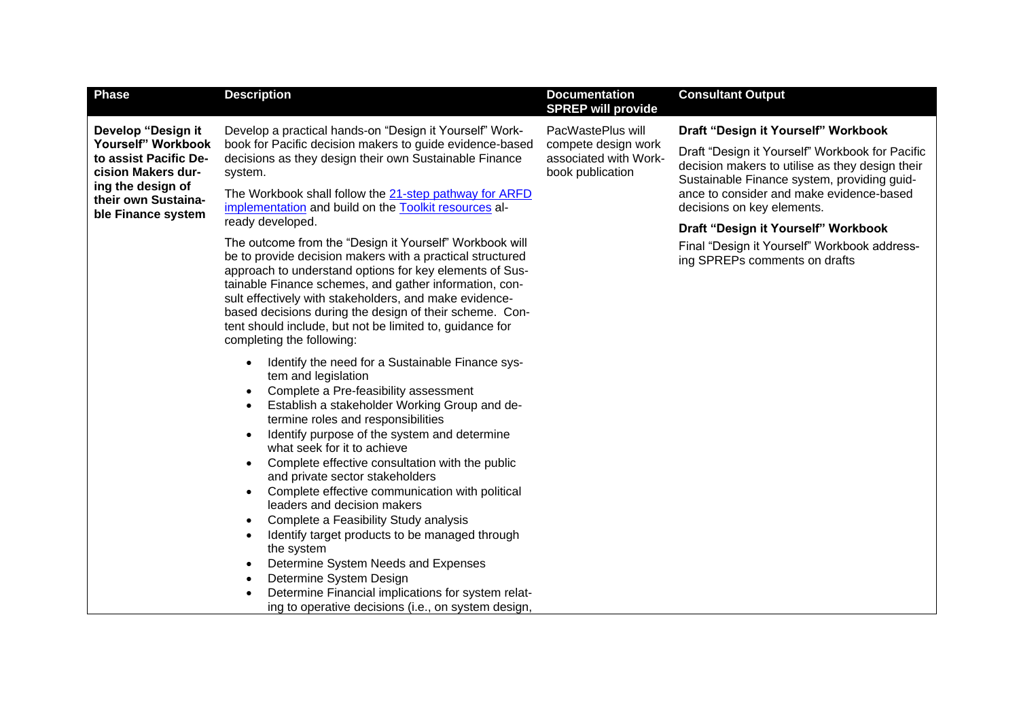| <b>Phase</b>                                                      | <b>Description</b>                                                                                                                                                                                                                                                                                                                                                                                                                                                                                                                                                                                                                                                                                                                                                         | <b>Documentation</b><br><b>SPREP will provide</b>                | <b>Consultant Output</b>                                                                                                                          |
|-------------------------------------------------------------------|----------------------------------------------------------------------------------------------------------------------------------------------------------------------------------------------------------------------------------------------------------------------------------------------------------------------------------------------------------------------------------------------------------------------------------------------------------------------------------------------------------------------------------------------------------------------------------------------------------------------------------------------------------------------------------------------------------------------------------------------------------------------------|------------------------------------------------------------------|---------------------------------------------------------------------------------------------------------------------------------------------------|
| Develop "Design it                                                | Develop a practical hands-on "Design it Yourself" Work-                                                                                                                                                                                                                                                                                                                                                                                                                                                                                                                                                                                                                                                                                                                    | PacWastePlus will                                                | Draft "Design it Yourself" Workbook                                                                                                               |
| Yourself" Workbook<br>to assist Pacific De-<br>cision Makers dur- | book for Pacific decision makers to guide evidence-based<br>decisions as they design their own Sustainable Finance<br>system.                                                                                                                                                                                                                                                                                                                                                                                                                                                                                                                                                                                                                                              | compete design work<br>associated with Work-<br>book publication | Draft "Design it Yourself" Workbook for Pacific<br>decision makers to utilise as they design their<br>Sustainable Finance system, providing guid- |
| ing the design of<br>their own Sustaina-<br>ble Finance system    | The Workbook shall follow the 21-step pathway for ARFD<br>implementation and build on the Toolkit resources al-                                                                                                                                                                                                                                                                                                                                                                                                                                                                                                                                                                                                                                                            |                                                                  | ance to consider and make evidence-based<br>decisions on key elements.                                                                            |
|                                                                   | ready developed.                                                                                                                                                                                                                                                                                                                                                                                                                                                                                                                                                                                                                                                                                                                                                           |                                                                  | Draft "Design it Yourself" Workbook                                                                                                               |
|                                                                   | The outcome from the "Design it Yourself" Workbook will<br>be to provide decision makers with a practical structured<br>approach to understand options for key elements of Sus-<br>tainable Finance schemes, and gather information, con-<br>sult effectively with stakeholders, and make evidence-<br>based decisions during the design of their scheme. Con-<br>tent should include, but not be limited to, guidance for<br>completing the following:                                                                                                                                                                                                                                                                                                                    |                                                                  | Final "Design it Yourself" Workbook address-<br>ing SPREPs comments on drafts                                                                     |
|                                                                   | Identify the need for a Sustainable Finance sys-<br>tem and legislation<br>Complete a Pre-feasibility assessment<br>$\bullet$<br>Establish a stakeholder Working Group and de-<br>٠<br>termine roles and responsibilities<br>Identify purpose of the system and determine<br>$\bullet$<br>what seek for it to achieve<br>Complete effective consultation with the public<br>$\bullet$<br>and private sector stakeholders<br>Complete effective communication with political<br>$\bullet$<br>leaders and decision makers<br>Complete a Feasibility Study analysis<br>$\bullet$<br>Identify target products to be managed through<br>٠<br>the system<br>Determine System Needs and Expenses<br>Determine System Design<br>Determine Financial implications for system relat- |                                                                  |                                                                                                                                                   |
|                                                                   | ing to operative decisions (i.e., on system design,                                                                                                                                                                                                                                                                                                                                                                                                                                                                                                                                                                                                                                                                                                                        |                                                                  |                                                                                                                                                   |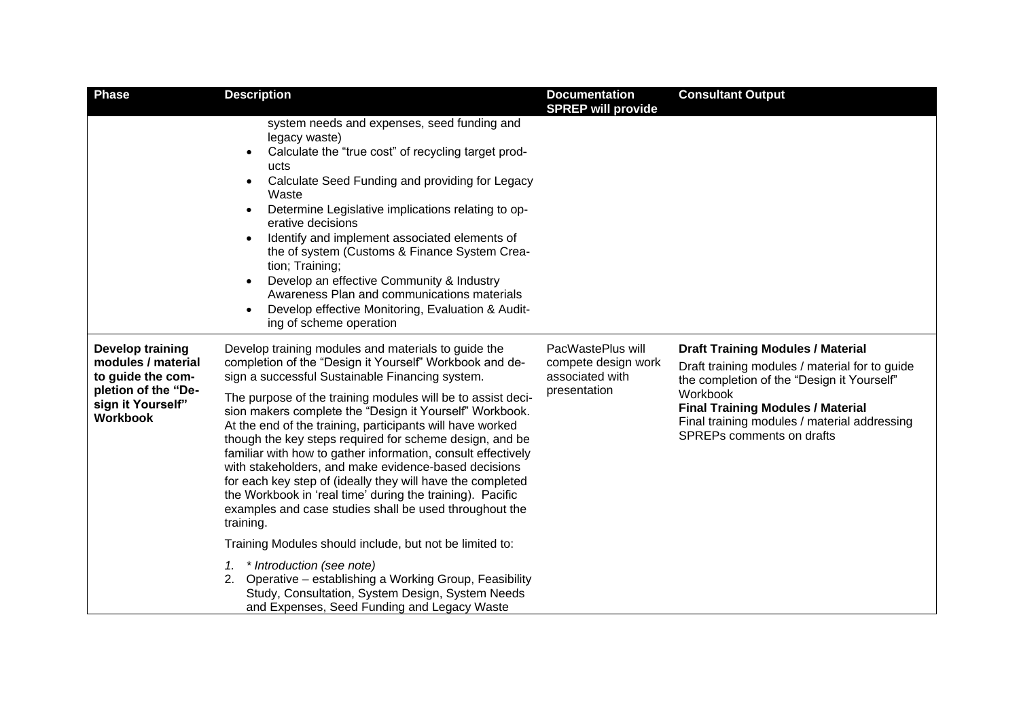| <b>Phase</b>                                                                                                                      | <b>Description</b>                                                                                                                                                                                                                                                                                                                                                                                                                                                                                                                                                                                                                                                                                                                            | <b>Documentation</b><br><b>SPREP will provide</b>                           | <b>Consultant Output</b>                                                                                                                                                                                                                                                      |
|-----------------------------------------------------------------------------------------------------------------------------------|-----------------------------------------------------------------------------------------------------------------------------------------------------------------------------------------------------------------------------------------------------------------------------------------------------------------------------------------------------------------------------------------------------------------------------------------------------------------------------------------------------------------------------------------------------------------------------------------------------------------------------------------------------------------------------------------------------------------------------------------------|-----------------------------------------------------------------------------|-------------------------------------------------------------------------------------------------------------------------------------------------------------------------------------------------------------------------------------------------------------------------------|
|                                                                                                                                   | system needs and expenses, seed funding and<br>legacy waste)<br>Calculate the "true cost" of recycling target prod-<br>$\bullet$<br>ucts<br>Calculate Seed Funding and providing for Legacy<br>$\bullet$<br>Waste<br>Determine Legislative implications relating to op-<br>erative decisions<br>Identify and implement associated elements of<br>the of system (Customs & Finance System Crea-<br>tion; Training;<br>Develop an effective Community & Industry<br>Awareness Plan and communications materials<br>Develop effective Monitoring, Evaluation & Audit-<br>ing of scheme operation                                                                                                                                                 |                                                                             |                                                                                                                                                                                                                                                                               |
| <b>Develop training</b><br>modules / material<br>to guide the com-<br>pletion of the "De-<br>sign it Yourself"<br><b>Workbook</b> | Develop training modules and materials to guide the<br>completion of the "Design it Yourself" Workbook and de-<br>sign a successful Sustainable Financing system.<br>The purpose of the training modules will be to assist deci-<br>sion makers complete the "Design it Yourself" Workbook.<br>At the end of the training, participants will have worked<br>though the key steps required for scheme design, and be<br>familiar with how to gather information, consult effectively<br>with stakeholders, and make evidence-based decisions<br>for each key step of (ideally they will have the completed<br>the Workbook in 'real time' during the training). Pacific<br>examples and case studies shall be used throughout the<br>training. | PacWastePlus will<br>compete design work<br>associated with<br>presentation | <b>Draft Training Modules / Material</b><br>Draft training modules / material for to guide<br>the completion of the "Design it Yourself"<br>Workbook<br><b>Final Training Modules / Material</b><br>Final training modules / material addressing<br>SPREPs comments on drafts |
|                                                                                                                                   | Training Modules should include, but not be limited to:                                                                                                                                                                                                                                                                                                                                                                                                                                                                                                                                                                                                                                                                                       |                                                                             |                                                                                                                                                                                                                                                                               |
|                                                                                                                                   | * Introduction (see note)<br>1.<br>2. Operative - establishing a Working Group, Feasibility<br>Study, Consultation, System Design, System Needs<br>and Expenses, Seed Funding and Legacy Waste                                                                                                                                                                                                                                                                                                                                                                                                                                                                                                                                                |                                                                             |                                                                                                                                                                                                                                                                               |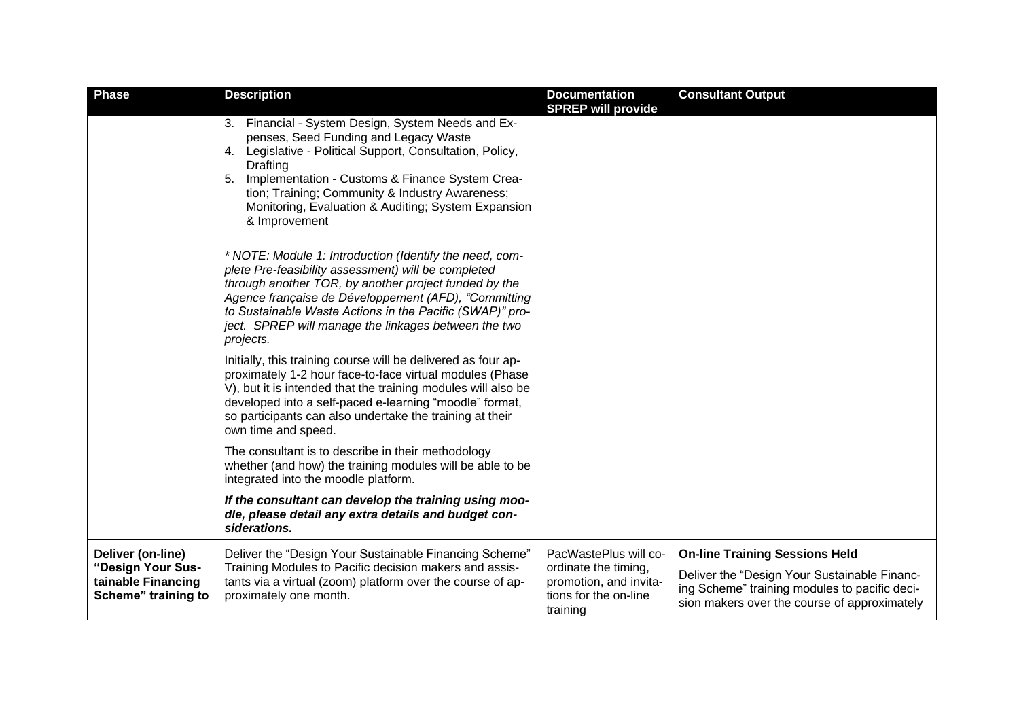| <b>Phase</b>                                                   | <b>Description</b>                                                                                                                                                                                                                                                                                                                                               | <b>Documentation</b><br><b>SPREP will provide</b>                                   | <b>Consultant Output</b>                                                                                                                      |
|----------------------------------------------------------------|------------------------------------------------------------------------------------------------------------------------------------------------------------------------------------------------------------------------------------------------------------------------------------------------------------------------------------------------------------------|-------------------------------------------------------------------------------------|-----------------------------------------------------------------------------------------------------------------------------------------------|
|                                                                | 3. Financial - System Design, System Needs and Ex-<br>penses, Seed Funding and Legacy Waste<br>4. Legislative - Political Support, Consultation, Policy,<br><b>Drafting</b><br>Implementation - Customs & Finance System Crea-<br>5.<br>tion; Training; Community & Industry Awareness;<br>Monitoring, Evaluation & Auditing; System Expansion<br>& Improvement  |                                                                                     |                                                                                                                                               |
|                                                                | * NOTE: Module 1: Introduction (Identify the need, com-<br>plete Pre-feasibility assessment) will be completed<br>through another TOR, by another project funded by the<br>Agence française de Développement (AFD), "Committing<br>to Sustainable Waste Actions in the Pacific (SWAP)" pro-<br>ject. SPREP will manage the linkages between the two<br>projects. |                                                                                     |                                                                                                                                               |
|                                                                | Initially, this training course will be delivered as four ap-<br>proximately 1-2 hour face-to-face virtual modules (Phase<br>V), but it is intended that the training modules will also be<br>developed into a self-paced e-learning "moodle" format,<br>so participants can also undertake the training at their<br>own time and speed.                         |                                                                                     |                                                                                                                                               |
|                                                                | The consultant is to describe in their methodology<br>whether (and how) the training modules will be able to be<br>integrated into the moodle platform.                                                                                                                                                                                                          |                                                                                     |                                                                                                                                               |
|                                                                | If the consultant can develop the training using moo-<br>dle, please detail any extra details and budget con-<br>siderations.                                                                                                                                                                                                                                    |                                                                                     |                                                                                                                                               |
| Deliver (on-line)                                              | Deliver the "Design Your Sustainable Financing Scheme"                                                                                                                                                                                                                                                                                                           | PacWastePlus will co-                                                               | <b>On-line Training Sessions Held</b>                                                                                                         |
| "Design Your Sus-<br>tainable Financing<br>Scheme" training to | Training Modules to Pacific decision makers and assis-<br>tants via a virtual (zoom) platform over the course of ap-<br>proximately one month.                                                                                                                                                                                                                   | ordinate the timing,<br>promotion, and invita-<br>tions for the on-line<br>training | Deliver the "Design Your Sustainable Financ-<br>ing Scheme" training modules to pacific deci-<br>sion makers over the course of approximately |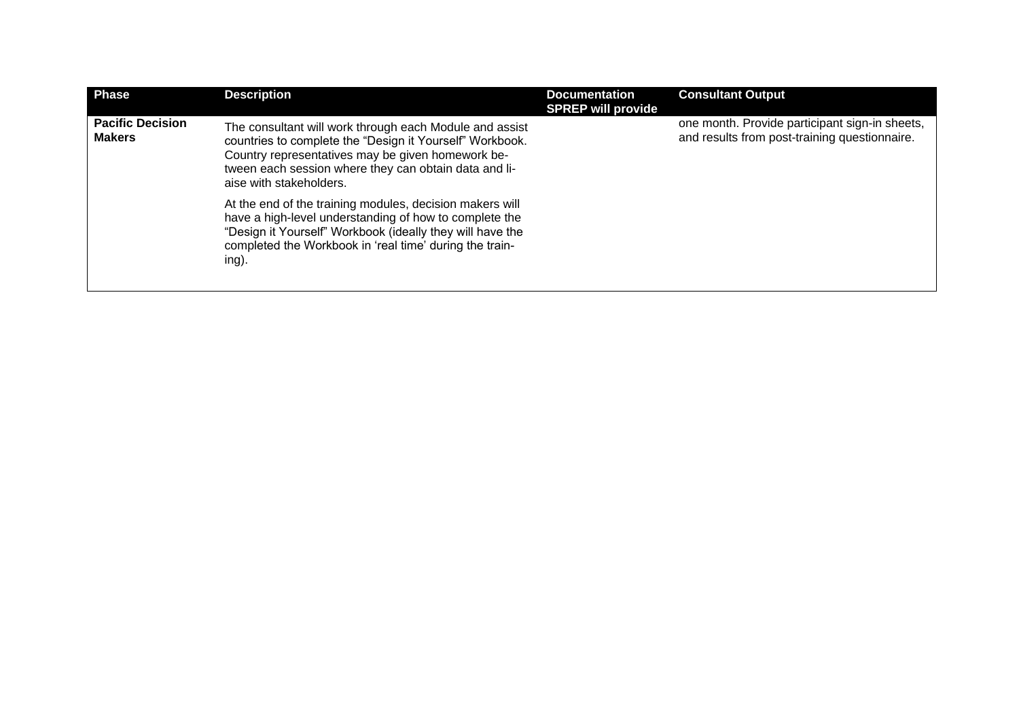| <b>Phase</b>                             | <b>Description</b>                                                                                                                                                                                                                                           | <b>Documentation</b><br><b>SPREP will provide</b> | <b>Consultant Output</b>                                                                        |
|------------------------------------------|--------------------------------------------------------------------------------------------------------------------------------------------------------------------------------------------------------------------------------------------------------------|---------------------------------------------------|-------------------------------------------------------------------------------------------------|
| <b>Pacific Decision</b><br><b>Makers</b> | The consultant will work through each Module and assist<br>countries to complete the "Design it Yourself" Workbook.<br>Country representatives may be given homework be-<br>tween each session where they can obtain data and li-<br>aise with stakeholders. |                                                   | one month. Provide participant sign-in sheets,<br>and results from post-training questionnaire. |
|                                          | At the end of the training modules, decision makers will<br>have a high-level understanding of how to complete the<br>"Design it Yourself" Workbook (ideally they will have the<br>completed the Workbook in 'real time' during the train-<br>ing).          |                                                   |                                                                                                 |